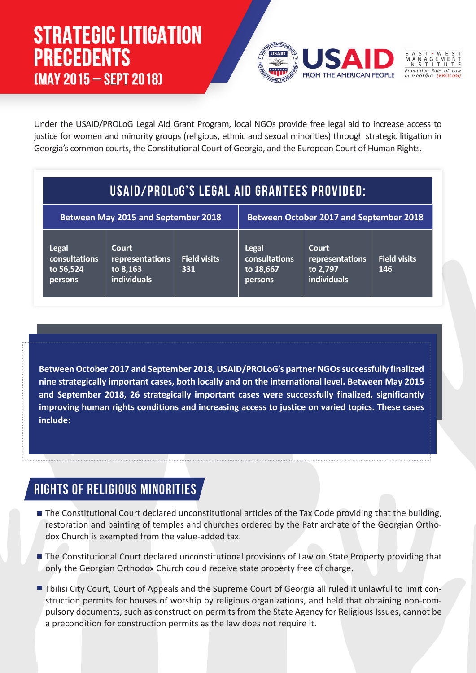# **STRATEGIC LITIGATION PRECEDENTS (MAY 2015 – SEPT 2018)**



Under the USAID/PROLoG Legal Aid Grant Program, local NGOs provide free legal aid to increase access to justice for women and minority groups (religious, ethnic and sexual minorities) through strategic litigation in Georgia's common courts, the Constitutional Court of Georgia, and the European Court of Human Rights.

# **USAID/PROLOG'S LEGAL AID GRANTEES PROVIDED:**

| <b>Between May 2015 and September 2018</b>            |                                                     |                            | <b>Between October 2017 and September 2018</b>        |                                                     |                            |
|-------------------------------------------------------|-----------------------------------------------------|----------------------------|-------------------------------------------------------|-----------------------------------------------------|----------------------------|
| <b>Legal</b><br>consultations<br>to 56,524<br>persons | Court<br>representations<br>to 8,163<br>individuals | <b>Field visits</b><br>331 | <b>Legal</b><br>consultations<br>to 18,667<br>persons | Court<br>representations<br>to 2,797<br>individuals | <b>Field visits</b><br>146 |

**Between October 2017 and September 2018, USAID/PROLoG's partner NGOs successfully finalized nine strategically important cases, both locally and on the international level. Between May 2015 and September 2018, 26 strategically important cases were successfully finalized, significantly improving human rights conditions and increasing access to justice on varied topics. These cases include:**

#### **RIGHTS OF RELIGIOUS MINORITIES**

- The Constitutional Court declared unconstitutional articles of the Tax Code providing that the building, restoration and painting of temples and churches ordered by the Patriarchate of the Georgian Orthodox Church is exempted from the value-added tax.
- The Constitutional Court declared unconstitutional provisions of Law on State Property providing that only the Georgian Orthodox Church could receive state property free of charge.
- Tbilisi City Court, Court of Appeals and the Supreme Court of Georgia all ruled it unlawful to limit construction permits for houses of worship by religious organizations, and held that obtaining non-compulsory documents, such as construction permits from the State Agency for Religious Issues, cannot be a precondition for construction permits as the law does not require it.